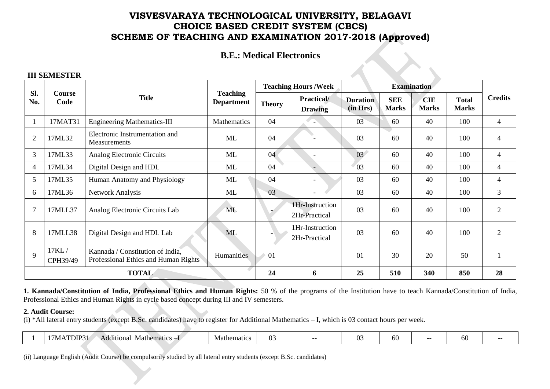## **B.E.: Medical Electronics**

#### **III SEMESTER**

|                |                   |                                                                          |                                      |                | <b>Teaching Hours / Week</b>     |                             |                            | <b>Examination</b>         |                              |                |
|----------------|-------------------|--------------------------------------------------------------------------|--------------------------------------|----------------|----------------------------------|-----------------------------|----------------------------|----------------------------|------------------------------|----------------|
| Sl.<br>No.     | Course<br>Code    | <b>Title</b>                                                             | <b>Teaching</b><br><b>Department</b> | <b>Theory</b>  | Practical/<br><b>Drawing</b>     | <b>Duration</b><br>(in Hrs) | <b>SEE</b><br><b>Marks</b> | <b>CIE</b><br><b>Marks</b> | <b>Total</b><br><b>Marks</b> | <b>Credits</b> |
|                | 17MAT31           | <b>Engineering Mathematics-III</b>                                       | Mathematics                          | 04             |                                  | 03                          | 60                         | 40                         | 100                          | 4              |
| $\overline{2}$ | 17ML32            | Electronic Instrumentation and<br>Measurements                           | ML                                   | 04             |                                  | 03                          | 60                         | 40                         | 100                          | 4              |
| 3              | 17ML33            | Analog Electronic Circuits                                               | ML                                   | 04             |                                  | 03 <sup>7</sup>             | 60                         | 40                         | 100                          | 4              |
| $\overline{4}$ | 17ML34            | Digital Design and HDL                                                   | ML                                   | 04             |                                  | 03                          | 60                         | 40                         | 100                          | 4              |
| 5              | 17ML35            | Human Anatomy and Physiology                                             | ML                                   | 04             |                                  | 03                          | 60                         | 40                         | 100                          | 4              |
| 6              | 17ML36            | <b>Network Analysis</b>                                                  | ML                                   | 0 <sub>3</sub> |                                  | 03                          | 60                         | 40                         | 100                          | $\mathfrak{Z}$ |
| 7              | 17MLL37           | Analog Electronic Circuits Lab                                           | <b>ML</b>                            |                | 1Hr-Instruction<br>2Hr-Practical | 03                          | 60                         | 40                         | 100                          | $\overline{2}$ |
| 8              | 17MLL38           | Digital Design and HDL Lab                                               | <b>ML</b>                            |                | 1Hr-Instruction<br>2Hr-Practical | 03                          | 60                         | 40                         | 100                          | $\overline{2}$ |
| 9              | 17KL/<br>CPH39/49 | Kannada / Constitution of India,<br>Professional Ethics and Human Rights | Humanities                           | 01             |                                  | 01                          | 30                         | 20                         | 50                           |                |
|                | <b>TOTAL</b>      |                                                                          |                                      |                | 6                                | 25                          | 510                        | 340                        | 850                          | 28             |

**1. Kannada/Constitution of India, Professional Ethics and Human Rights:** 50 % of the programs of the Institution have to teach Kannada/Constitution of India, Professional Ethics and Human Rights in cycle based concept during III and IV semesters.

#### **2. Audit Course:**

(i) \*All lateral entry students (except B.Sc. candidates) have to register for Additional Mathematics – I, which is 03 contact hours per week.

|  | DIP<br>---<br>/ IVI. | $\bullet$<br><b>Mathematics</b><br>Additional | Mathematics | $\sim$<br>11<br>◡ |  | $\sim$<br><b>A</b> | ผ<br>UU | -- | w |  |
|--|----------------------|-----------------------------------------------|-------------|-------------------|--|--------------------|---------|----|---|--|
|--|----------------------|-----------------------------------------------|-------------|-------------------|--|--------------------|---------|----|---|--|

(ii) Language English (Audit Course) be compulsorily studied by all lateral entry students (except B.Sc. candidates)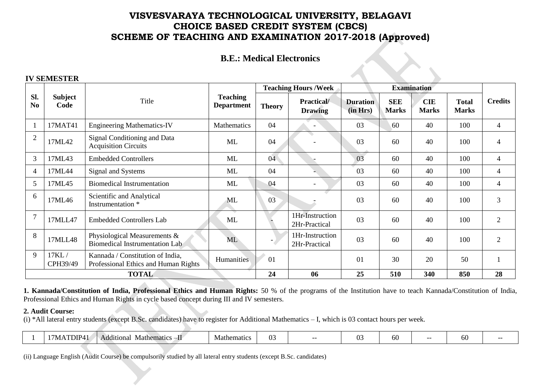## **B.E.: Medical Electronics**

 $\rightsquigarrow$ 

#### **IV SEMESTER**

|                       |                        |                                                                          |                                      |                          | <b>Teaching Hours /Week</b>          |                             |                            | <b>Examination</b>         |                              |                |
|-----------------------|------------------------|--------------------------------------------------------------------------|--------------------------------------|--------------------------|--------------------------------------|-----------------------------|----------------------------|----------------------------|------------------------------|----------------|
| Sl.<br>N <sub>0</sub> | <b>Subject</b><br>Code | Title                                                                    | <b>Teaching</b><br><b>Department</b> | <b>Theory</b>            | <b>Practical</b> /<br><b>Drawing</b> | <b>Duration</b><br>(in Hrs) | <b>SEE</b><br><b>Marks</b> | <b>CIE</b><br><b>Marks</b> | <b>Total</b><br><b>Marks</b> | <b>Credits</b> |
|                       | 17MAT41                | <b>Engineering Mathematics-IV</b>                                        | Mathematics                          | 04                       |                                      | 03                          | 60                         | 40                         | 100                          | 4              |
| $\overline{2}$        | 17ML42                 | Signal Conditioning and Data<br><b>Acquisition Circuits</b>              | ML                                   | 04                       |                                      | 03                          | 60                         | 40                         | 100                          | 4              |
| 3                     | 17ML43                 | <b>Embedded Controllers</b>                                              | <b>ML</b>                            | 04                       |                                      | 03                          | 60                         | 40                         | 100                          | 4              |
| $\overline{4}$        | 17ML44                 | Signal and Systems                                                       | ML                                   | 04                       |                                      | 03                          | 60                         | 40                         | 100                          | 4              |
| 5                     | 17ML45                 | <b>Biomedical Instrumentation</b>                                        | ML                                   | 04                       |                                      | 03                          | 60                         | 40                         | 100                          | 4              |
| 6                     | 17ML46                 | Scientific and Analytical<br>Instrumentation *                           | ML                                   | 03                       |                                      | 03                          | 60                         | 40                         | 100                          | 3              |
| $\overline{7}$        | 17MLL47                | <b>Embedded Controllers Lab</b>                                          | ML                                   |                          | 1Hr-Instruction<br>2Hr-Practical     | 03                          | 60                         | 40                         | 100                          | 2              |
| 8                     | 17MLL48                | Physiological Measurements &<br>Biomedical Instrumentation Lab           | ML                                   | $\overline{\phantom{a}}$ | 1Hr-Instruction<br>2Hr-Practical     | 03                          | 60                         | 40                         | 100                          | $\overline{2}$ |
| 9                     | 17KL/<br>CPH39/49      | Kannada / Constitution of India,<br>Professional Ethics and Human Rights | Humanities                           | 01                       |                                      | 01                          | 30                         | 20                         | 50                           |                |
|                       | <b>TOTAL</b>           |                                                                          |                                      |                          | 06                                   | 25                          | 510                        | 340                        | 850                          | 28             |

**1. Kannada/Constitution of India, Professional Ethics and Human Rights:** 50 % of the programs of the Institution have to teach Kannada/Constitution of India, Professional Ethics and Human Rights in cycle based concept during III and IV semesters.

#### **2. Audit Course:**

(i) \*All lateral entry students (except B.Sc. candidates) have to register for Additional Mathematics – I, which is 03 contact hours per week.

|  | DIP.<br>W | Mathematics<br>ıonal<br>Add1t1 | nematic<br>viat | ັບ | $- -$ | $\sim$<br><b>1</b> | nu |  | $\sim$<br>., |  |
|--|-----------|--------------------------------|-----------------|----|-------|--------------------|----|--|--------------|--|
|--|-----------|--------------------------------|-----------------|----|-------|--------------------|----|--|--------------|--|

(ii) Language English (Audit Course) be compulsorily studied by all lateral entry students (except B.Sc. candidates)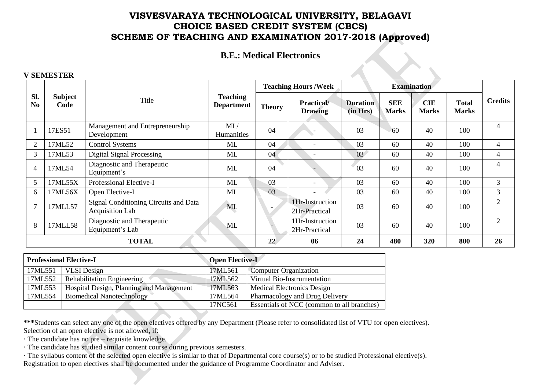### **B.E.: Medical Electronics**

#### **V SEMESTER**

|                       |                        |                                                          |                                      |               | <b>Teaching Hours / Week</b>        |                             |                            | <b>Examination</b>         |                              |                             |
|-----------------------|------------------------|----------------------------------------------------------|--------------------------------------|---------------|-------------------------------------|-----------------------------|----------------------------|----------------------------|------------------------------|-----------------------------|
| Sl.<br>N <sub>0</sub> | <b>Subject</b><br>Code | Title                                                    | <b>Teaching</b><br><b>Department</b> | <b>Theory</b> | <b>Practical/</b><br><b>Drawing</b> | <b>Duration</b><br>(in Hrs) | <b>SEE</b><br><b>Marks</b> | <b>CIE</b><br><b>Marks</b> | <b>Total</b><br><b>Marks</b> | <b>Credits</b>              |
|                       | 17ES51                 | Management and Entrepreneurship<br>Development           | ML/<br>Humanities                    | 04            |                                     | 03                          | 60                         | 40                         | 100                          | 4                           |
| $\overline{2}$        | 17ML52                 | <b>Control Systems</b>                                   | ML                                   | 04            | $\overline{\phantom{a}}$            | 03                          | 60                         | 40                         | 100                          | 4                           |
| 3                     | 17ML53                 | <b>Digital Signal Processing</b>                         | ML                                   | 04            | ۰                                   | 03                          | 60                         | 40                         | 100                          | 4                           |
| $\overline{4}$        | 17ML54                 | Diagnostic and Therapeutic<br>Equipment's                | ML                                   | 04            |                                     | 03                          | 60                         | 40                         | 100                          | 4                           |
| 5                     | 17ML55X                | Professional Elective-I                                  | ML                                   | 03            | $\overline{\phantom{a}}$            | 03                          | 60                         | 40                         | 100                          | 3                           |
| 6                     | 17ML56X                | Open Elective-I                                          | ML                                   | 03            | $\overline{\phantom{a}}$            | 03                          | 60                         | 40                         | 100                          | 3                           |
| $\mathcal{I}$         | 17MLL57                | Signal Conditioning Circuits and Data<br>Acquisition Lab | <b>ML</b>                            |               | 1Hr-Instruction<br>2Hr-Practical    | 03                          | 60                         | 40                         | 100                          | $\mathcal{D}_{\mathcal{L}}$ |
| 8                     | 17MLL58                | Diagnostic and Therapeutic<br>Equipment's Lab            | ML                                   |               | 1Hr-Instruction<br>2Hr-Practical    | 03                          | 60                         | 40                         | 100                          | 2                           |
|                       | <b>TOTAL</b>           |                                                          |                                      |               | 06                                  | 24                          | 480                        | 320                        | 800                          | 26                          |

|         | <b>Professional Elective-I</b>           | <b>Open Elective-I</b> |                                            |
|---------|------------------------------------------|------------------------|--------------------------------------------|
| 17ML551 | <b>VLSI</b> Design                       | 17ML561                | <b>Computer Organization</b>               |
| 17ML552 | Rehabilitation Engineering               | 17ML562                | Virtual Bio-Instrumentation                |
| 17ML553 | Hospital Design, Planning and Management | 17ML563                | <b>Medical Electronics Design</b>          |
| 17ML554 | <b>Biomedical Nanotechnology</b>         | 17ML564                | Pharmacology and Drug Delivery             |
|         |                                          | 17NC561                | Essentials of NCC (common to all branches) |

**\*\*\***Students can select any one of the open electives offered by any Department (Please refer to consolidated list of VTU for open electives). Selection of an open elective is not allowed, if:

· The candidate has no pre – requisite knowledge.

· The candidate has studied similar content course during previous semesters.

· The syllabus content of the selected open elective is similar to that of Departmental core course(s) or to be studied Professional elective(s). Registration to open electives shall be documented under the guidance of Programme Coordinator and Adviser.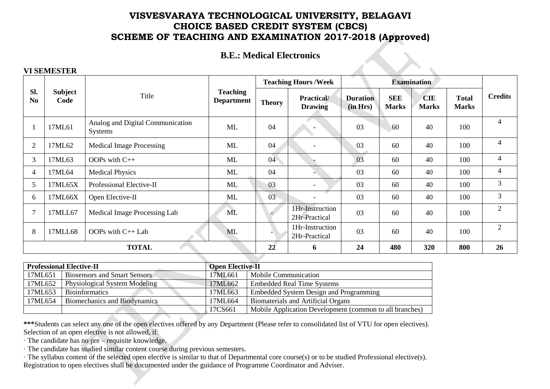## **B.E.: Medical Electronics**

### **VI SEMESTER**

|                       |                        |                                                    |                                      |               | <b>Teaching Hours / Week</b>       |                             |                            | <b>Examination</b>         |                              |                |
|-----------------------|------------------------|----------------------------------------------------|--------------------------------------|---------------|------------------------------------|-----------------------------|----------------------------|----------------------------|------------------------------|----------------|
| SI.<br>N <sub>0</sub> | <b>Subject</b><br>Code | Title                                              | <b>Teaching</b><br><b>Department</b> | <b>Theory</b> | <b>Practical</b><br><b>Drawing</b> | <b>Duration</b><br>(in Hrs) | <b>SEE</b><br><b>Marks</b> | <b>CIE</b><br><b>Marks</b> | <b>Total</b><br><b>Marks</b> | <b>Credits</b> |
|                       | 17ML61                 | Analog and Digital Communication<br><b>Systems</b> | <b>ML</b>                            | 04            |                                    | 03                          | 60                         | 40                         | 100                          | 4              |
| $\overline{2}$        | 17ML62                 | <b>Medical Image Processing</b>                    | ML                                   | 04            | $\overline{\phantom{0}}$           | 03                          | 60                         | 40                         | 100                          | $\overline{4}$ |
| 3                     | 17ML63                 | OOPs with C++                                      | ML                                   | 04            |                                    | 03                          | 60                         | 40                         | 100                          | $\overline{4}$ |
| 4                     | 17ML64                 | <b>Medical Physics</b>                             | ML                                   | 04            |                                    | 03                          | 60                         | 40                         | 100                          | 4              |
| 5                     | 17ML65X                | Professional Elective-II                           | ML                                   | 03            | $\overline{\phantom{0}}$           | 03                          | 60                         | 40                         | 100                          | $\mathfrak{Z}$ |
| 6                     | 17ML66X                | Open Elective-II                                   | ML                                   | 03            |                                    | 03                          | 60                         | 40                         | 100                          | $\mathfrak{Z}$ |
| 7                     | 17MLL67                | Medical Image Processing Lab                       | ML                                   |               | 1Hr-Instruction<br>2Hr-Practical   | 03                          | 60                         | 40                         | 100                          | $\overline{2}$ |
| 8                     | 17MLL68                | OOPs with C++ Lab                                  | <b>ML</b>                            | ۰.            | 1Hr-Instruction<br>2Hr-Practical   | 03                          | 60                         | 40                         | 100                          | $\overline{2}$ |
|                       |                        | <b>TOTAL</b>                                       |                                      | 22            | 6                                  | 24                          | 480                        | 320                        | 800                          | 26             |
|                       |                        |                                                    |                                      |               |                                    |                             |                            |                            |                              |                |

|         | <b>Professional Elective-II</b>     | <b>Open Elective-II</b> |                                                         |
|---------|-------------------------------------|-------------------------|---------------------------------------------------------|
| 17ML651 | <b>Biosensors and Smart Sensors</b> | 17ML661                 | <b>Mobile Communication</b>                             |
| 17ML652 | Physiological System Modeling       | 17ML662                 | <b>Embedded Real Time Systems</b>                       |
| 17ML653 | <b>Bioinformatics</b>               | 17ML663                 | Embedded System Design and Programming                  |
| 17ML654 | <b>Biomechanics and Biodynamics</b> | 17ML664                 | <b>Biomaterials and Artificial Organs</b>               |
|         |                                     | 17CS661                 | Mobile Application Development (common to all branches) |

**\*\*\***Students can select any one of the open electives offered by any Department (Please refer to consolidated list of VTU for open electives). Selection of an open elective is not allowed, if:

· The candidate has no pre – requisite knowledge.

- · The candidate has studied similar content course during previous semesters.
- · The syllabus content of the selected open elective is similar to that of Departmental core course(s) or to be studied Professional elective(s). Registration to open electives shall be documented under the guidance of Programme Coordinator and Adviser.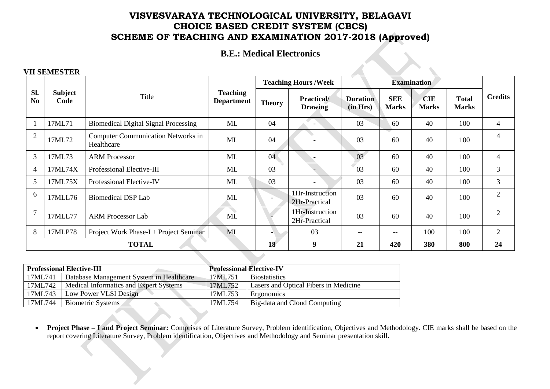# **B.E.: Medical Electronics**

### **VII SEMESTER**

|                       |                        |                                                         |                                      |                 | <b>Teaching Hours /Week</b>          |                             |                            | <b>Examination</b>         |                              |                |
|-----------------------|------------------------|---------------------------------------------------------|--------------------------------------|-----------------|--------------------------------------|-----------------------------|----------------------------|----------------------------|------------------------------|----------------|
| Sl.<br>N <sub>0</sub> | <b>Subject</b><br>Code | Title                                                   | <b>Teaching</b><br><b>Department</b> | <b>Theory</b>   | <b>Practical</b> /<br><b>Drawing</b> | <b>Duration</b><br>(in Hrs) | <b>SEE</b><br><b>Marks</b> | <b>CIE</b><br><b>Marks</b> | <b>Total</b><br><b>Marks</b> | <b>Credits</b> |
|                       | 17ML71                 | <b>Biomedical Digital Signal Processing</b>             | ML                                   | 04              | $\overline{\phantom{0}}$             | 03                          | 60                         | 40                         | 100                          | 4              |
| $\overline{2}$        | 17ML72                 | <b>Computer Communication Networks in</b><br>Healthcare | ML                                   | 04              |                                      | 03                          | 60                         | 40                         | 100                          | 4              |
| 3                     | 17ML73                 | <b>ARM Processor</b>                                    | <b>ML</b>                            | 04              |                                      | 03                          | 60                         | 40                         | 100                          | 4              |
| $\overline{4}$        | 17ML74X                | Professional Elective-III                               | ML                                   | 03              |                                      | 03                          | 60                         | 40                         | 100                          | 3              |
| 5                     | 17ML75X                | Professional Elective-IV                                | ML                                   | 03              | $\overline{\phantom{0}}$             | 03                          | 60                         | 40                         | 100                          | 3              |
| 6                     | 17MLL76                | Biomedical DSP Lab                                      | ML                                   |                 | 1Hr-Instruction<br>2Hr-Practical     | 03                          | 60                         | 40                         | 100                          | 2              |
| $\overline{7}$        | 17MLL77                | <b>ARM Processor Lab</b>                                | ML                                   |                 | 1Hr-Instruction<br>2Hr-Practical     | 03                          | 60                         | 40                         | 100                          | 2              |
| 8                     | 17MLP78                | Project Work Phase- $I + Project$ Seminar               | <b>ML</b>                            |                 | 03                                   | $- -$                       | $\qquad \qquad -$          | 100                        | 100                          | $\overline{2}$ |
|                       |                        | <b>TOTAL</b>                                            |                                      | 18 <sup>°</sup> | 9                                    | 21                          | 420                        | 380                        | 800                          | 24             |

|         | <b>Professional Elective-III</b>         | <b>Professional Elective-IV</b> |                                       |
|---------|------------------------------------------|---------------------------------|---------------------------------------|
| 17ML741 | Database Management System in Healthcare | 17ML751                         | <b>Biostatistics</b>                  |
| 17ML742 | Medical Informatics and Expert Systems   | 17ML752                         | Lasers and Optical Fibers in Medicine |
| 17ML743 | Low Power VLSI Design                    | 17ML753                         | Ergonomics                            |
| 17ML744 | <b>Biometric Systems</b>                 | 17ML754                         | Big-data and Cloud Computing          |

 **Project Phase – I and Project Seminar:** Comprises of Literature Survey, Problem identification, Objectives and Methodology. CIE marks shall be based on the report covering Literature Survey, Problem identification, Objectives and Methodology and Seminar presentation skill.